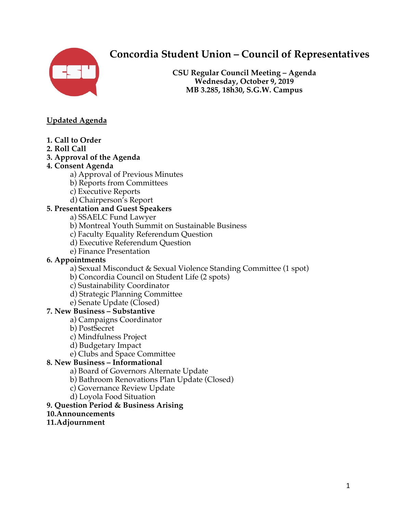

# **Concordia Student Union – Council of Representatives**

**CSU Regular Council Meeting – Agenda Wednesday, October 9, 2019 MB 3.285, 18h30, S.G.W. Campus**

# **Updated Agenda**

- **1. Call to Order**
- **2. Roll Call**
- **3. Approval of the Agenda**
- **4. Consent Agenda** 
	- a) Approval of Previous Minutes
	- b) Reports from Committees
	- c) Executive Reports
	- d) Chairperson's Report

# **5. Presentation and Guest Speakers**

a) SSAELC Fund Lawyer

- b) Montreal Youth Summit on Sustainable Business
- c) Faculty Equality Referendum Question
- d) Executive Referendum Question
- e) Finance Presentation

## **6. Appointments**

a) Sexual Misconduct & Sexual Violence Standing Committee (1 spot)

- b) Concordia Council on Student Life (2 spots)
- c) Sustainability Coordinator
- d) Strategic Planning Committee
- e) Senate Update (Closed)

## **7. New Business – Substantive**

- a) Campaigns Coordinator
- b) PostSecret
- c) Mindfulness Project
- d) Budgetary Impact
- e) Clubs and Space Committee

## **8. New Business – Informational**

- a) Board of Governors Alternate Update
- b) Bathroom Renovations Plan Update (Closed)
- c) Governance Review Update
- d) Loyola Food Situation

## **9. Question Period & Business Arising**

**10.Announcements**

#### **11.Adjournment**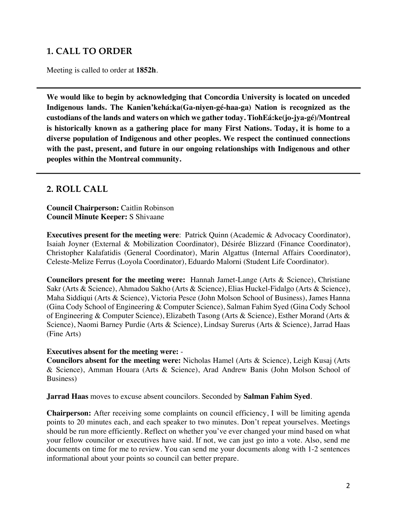# **1. CALL TO ORDER**

Meeting is called to order at **1852h**.

**We would like to begin by acknowledging that Concordia University is located on unceded Indigenous lands. The Kanien'kehá:ka(Ga-niyen-gé-haa-ga) Nation is recognized as the custodians of the lands and waters on which we gather today. TiohEá:ke(jo-jya-gé)/Montreal is historically known as a gathering place for many First Nations. Today, it is home to a diverse population of Indigenous and other peoples. We respect the continued connections with the past, present, and future in our ongoing relationships with Indigenous and other peoples within the Montreal community.** 

# **2. ROLL CALL**

**Council Chairperson:** Caitlin Robinson **Council Minute Keeper:** S Shivaane

**Executives present for the meeting were**: Patrick Quinn (Academic & Advocacy Coordinator), Isaiah Joyner (External & Mobilization Coordinator), Désirée Blizzard (Finance Coordinator), Christopher Kalafatidis (General Coordinator), Marin Algattus (Internal Affairs Coordinator), Celeste-Melize Ferrus (Loyola Coordinator), Eduardo Malorni (Student Life Coordinator).

**Councilors present for the meeting were:** Hannah Jamet-Lange (Arts & Science), Christiane Sakr (Arts & Science), Ahmadou Sakho (Arts & Science), Elias Huckel-Fidalgo (Arts & Science), Maha Siddiqui (Arts & Science), Victoria Pesce (John Molson School of Business), James Hanna (Gina Cody School of Engineering & Computer Science), Salman Fahim Syed (Gina Cody School of Engineering & Computer Science), Elizabeth Tasong (Arts & Science), Esther Morand (Arts & Science), Naomi Barney Purdie (Arts & Science), Lindsay Surerus (Arts & Science), Jarrad Haas (Fine Arts)

#### **Executives absent for the meeting were:** -

**Councilors absent for the meeting were:** Nicholas Hamel (Arts & Science), Leigh Kusaj (Arts & Science), Amman Houara (Arts & Science), Arad Andrew Banis (John Molson School of Business)

**Jarrad Haas** moves to excuse absent councilors. Seconded by **Salman Fahim Syed**.

**Chairperson:** After receiving some complaints on council efficiency, I will be limiting agenda points to 20 minutes each, and each speaker to two minutes. Don't repeat yourselves. Meetings should be run more efficiently. Reflect on whether you've ever changed your mind based on what your fellow councilor or executives have said. If not, we can just go into a vote. Also, send me documents on time for me to review. You can send me your documents along with 1-2 sentences informational about your points so council can better prepare.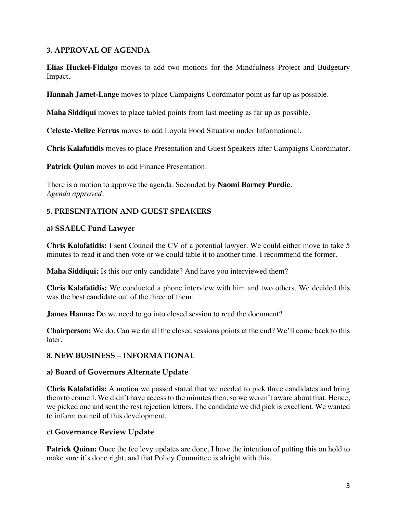# **3. APPROVAL OF AGENDA**

**Elias Huckel-Fidalgo** moves to add two motions for the Mindfulness Project and Budgetary Impact.

**Hannah Jamet-Lange** moves to place Campaigns Coordinator point as far up as possible.

**Maha Siddiqui** moves to place tabled points from last meeting as far up as possible.

**Celeste-Melize Ferrus** moves to add Loyola Food Situation under Informational.

**Chris Kalafatidis** moves to place Presentation and Guest Speakers after Campaigns Coordinator.

Patrick Quinn moves to add Finance Presentation.

There is a motion to approve the agenda. Seconded by **Naomi Barney Purdie**. *Agenda approved.* 

# **5. PRESENTATION AND GUEST SPEAKERS**

## **a) SSAELC Fund Lawyer**

**Chris Kalafatidis:** I sent Council the CV of a potential lawyer. We could either move to take 5 minutes to read it and then vote or we could table it to another time. I recommend the former.

**Maha Siddiqui:** Is this our only candidate? And have you interviewed them?

**Chris Kalafatidis:** We conducted a phone interview with him and two others. We decided this was the best candidate out of the three of them.

**James Hanna:** Do we need to go into closed session to read the document?

**Chairperson:** We do. Can we do all the closed sessions points at the end? We'll come back to this later.

## **8. NEW BUSINESS – INFORMATIONAL**

#### **a) Board of Governors Alternate Update**

**Chris Kalafatidis:** A motion we passed stated that we needed to pick three candidates and bring them to council. We didn't have access to the minutes then, so we weren't aware about that. Hence, we picked one and sent the rest rejection letters. The candidate we did pick is excellent. We wanted to inform council of this development.

## **c) Governance Review Update**

**Patrick Quinn:** Once the fee levy updates are done, I have the intention of putting this on hold to make sure it's done right, and that Policy Committee is alright with this.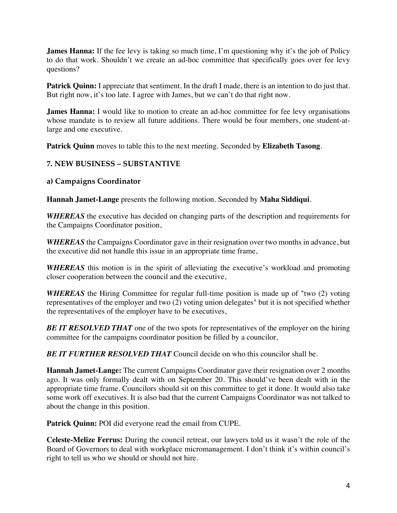**James Hanna:** If the fee levy is taking so much time, I'm questioning why it's the job of Policy to do that work. Shouldn't we create an ad-hoc committee that specifically goes over fee levy questions?

**Patrick Quinn:** I appreciate that sentiment. In the draft I made, there is an intention to do just that. But right now, it's too late. I agree with James, but we can't do that right now.

**James Hanna:** I would like to motion to create an ad-hoc committee for fee levy organisations whose mandate is to review all future additions. There would be four members, one student-atlarge and one executive.

**Patrick Quinn** moves to table this to the next meeting. Seconded by **Elizabeth Tasong**.

# **7. NEW BUSINESS – SUBSTANTIVE**

# **a) Campaigns Coordinator**

**Hannah Jamet-Lange** presents the following motion. Seconded by **Maha Siddiqui**.

*WHEREAS* the executive has decided on changing parts of the description and requirements for the Campaigns Coordinator position,

*WHEREAS* the Campaigns Coordinator gave in their resignation over two months in advance, but the executive did not handle this issue in an appropriate time frame,

*WHEREAS* this motion is in the spirit of alleviating the executive's workload and promoting closer cooperation between the council and the executive,

*WHEREAS* the Hiring Committee for regular full-time position is made up of "two (2) voting representatives of the employer and two (2) voting union delegates" but it is not specified whether the representatives of the employer have to be executives,

**BE IT RESOLVED THAT** one of the two spots for representatives of the employer on the hiring committee for the campaigns coordinator position be filled by a councilor,

*BE IT FURTHER RESOLVED THAT* Council decide on who this councilor shall be.

**Hannah Jamet-Lange:** The current Campaigns Coordinator gave their resignation over 2 months ago. It was only formally dealt with on September 20. This should've been dealt with in the appropriate time frame. Councilors should sit on this committee to get it done. It would also take some work off executives. It is also bad that the current Campaigns Coordinator was not talked to about the change in this position.

**Patrick Quinn:** POI did everyone read the email from CUPE.

**Celeste-Melize Ferrus:** During the council retreat, our lawyers told us it wasn't the role of the Board of Governors to deal with workplace micromanagement. I don't think it's within council's right to tell us who we should or should not hire.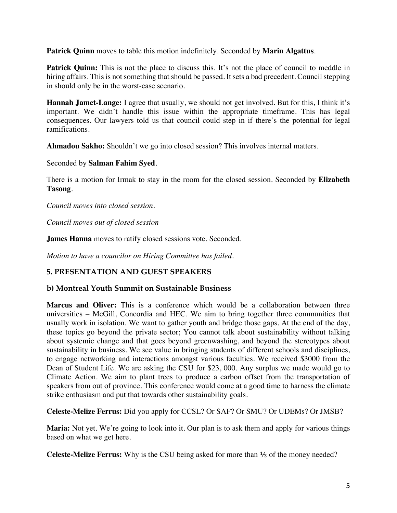**Patrick Quinn** moves to table this motion indefinitely. Seconded by **Marin Algattus**.

**Patrick Quinn:** This is not the place to discuss this. It's not the place of council to meddle in hiring affairs. This is not something that should be passed. It sets a bad precedent. Council stepping in should only be in the worst-case scenario.

**Hannah Jamet-Lange:** I agree that usually, we should not get involved. But for this, I think it's important. We didn't handle this issue within the appropriate timeframe. This has legal consequences. Our lawyers told us that council could step in if there's the potential for legal ramifications.

**Ahmadou Sakho:** Shouldn't we go into closed session? This involves internal matters.

Seconded by **Salman Fahim Syed**.

There is a motion for Irmak to stay in the room for the closed session. Seconded by **Elizabeth Tasong**.

*Council moves into closed session.* 

*Council moves out of closed session*

**James Hanna** moves to ratify closed sessions vote. Seconded.

*Motion to have a councilor on Hiring Committee has failed.* 

## **5. PRESENTATION AND GUEST SPEAKERS**

#### **b) Montreal Youth Summit on Sustainable Business**

**Marcus and Oliver:** This is a conference which would be a collaboration between three universities – McGill, Concordia and HEC. We aim to bring together three communities that usually work in isolation. We want to gather youth and bridge those gaps. At the end of the day, these topics go beyond the private sector; You cannot talk about sustainability without talking about systemic change and that goes beyond greenwashing, and beyond the stereotypes about sustainability in business. We see value in bringing students of different schools and disciplines, to engage networking and interactions amongst various faculties. We received \$3000 from the Dean of Student Life. We are asking the CSU for \$23, 000. Any surplus we made would go to Climate Action. We aim to plant trees to produce a carbon offset from the transportation of speakers from out of province. This conference would come at a good time to harness the climate strike enthusiasm and put that towards other sustainability goals.

**Celeste-Melize Ferrus:** Did you apply for CCSL? Or SAF? Or SMU? Or UDEMs? Or JMSB?

**Maria:** Not yet. We're going to look into it. Our plan is to ask them and apply for various things based on what we get here.

**Celeste-Melize Ferrus:** Why is the CSU being asked for more than ⅓ of the money needed?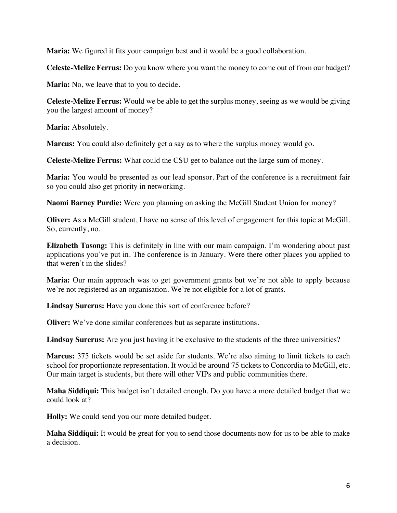**Maria:** We figured it fits your campaign best and it would be a good collaboration.

**Celeste-Melize Ferrus:** Do you know where you want the money to come out of from our budget?

**Maria:** No, we leave that to you to decide.

**Celeste-Melize Ferrus:** Would we be able to get the surplus money, seeing as we would be giving you the largest amount of money?

**Maria:** Absolutely.

**Marcus:** You could also definitely get a say as to where the surplus money would go.

**Celeste-Melize Ferrus:** What could the CSU get to balance out the large sum of money.

**Maria:** You would be presented as our lead sponsor. Part of the conference is a recruitment fair so you could also get priority in networking.

**Naomi Barney Purdie:** Were you planning on asking the McGill Student Union for money?

**Oliver:** As a McGill student, I have no sense of this level of engagement for this topic at McGill. So, currently, no.

**Elizabeth Tasong:** This is definitely in line with our main campaign. I'm wondering about past applications you've put in. The conference is in January. Were there other places you applied to that weren't in the slides?

**Maria:** Our main approach was to get government grants but we're not able to apply because we're not registered as an organisation. We're not eligible for a lot of grants.

**Lindsay Surerus:** Have you done this sort of conference before?

**Oliver:** We've done similar conferences but as separate institutions.

**Lindsay Surerus:** Are you just having it be exclusive to the students of the three universities?

**Marcus:** 375 tickets would be set aside for students. We're also aiming to limit tickets to each school for proportionate representation. It would be around 75 tickets to Concordia to McGill, etc. Our main target is students, but there will other VIPs and public communities there.

**Maha Siddiqui:** This budget isn't detailed enough. Do you have a more detailed budget that we could look at?

**Holly:** We could send you our more detailed budget.

**Maha Siddiqui:** It would be great for you to send those documents now for us to be able to make a decision.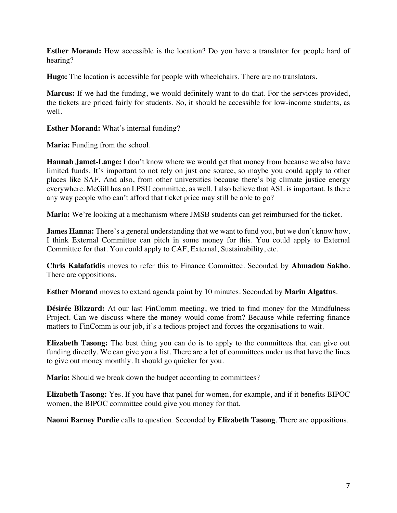**Esther Morand:** How accessible is the location? Do you have a translator for people hard of hearing?

**Hugo:** The location is accessible for people with wheelchairs. There are no translators.

**Marcus:** If we had the funding, we would definitely want to do that. For the services provided, the tickets are priced fairly for students. So, it should be accessible for low-income students, as well.

**Esther Morand:** What's internal funding?

**Maria:** Funding from the school.

**Hannah Jamet-Lange:** I don't know where we would get that money from because we also have limited funds. It's important to not rely on just one source, so maybe you could apply to other places like SAF. And also, from other universities because there's big climate justice energy everywhere. McGill has an LPSU committee, as well. I also believe that ASL is important. Is there any way people who can't afford that ticket price may still be able to go?

**Maria:** We're looking at a mechanism where JMSB students can get reimbursed for the ticket.

**James Hanna:** There's a general understanding that we want to fund you, but we don't know how. I think External Committee can pitch in some money for this. You could apply to External Committee for that. You could apply to CAF, External, Sustainability, etc.

**Chris Kalafatidis** moves to refer this to Finance Committee. Seconded by **Ahmadou Sakho**. There are oppositions.

**Esther Morand** moves to extend agenda point by 10 minutes. Seconded by **Marin Algattus**.

**Désirée Blizzard:** At our last FinComm meeting, we tried to find money for the Mindfulness Project. Can we discuss where the money would come from? Because while referring finance matters to FinComm is our job, it's a tedious project and forces the organisations to wait.

**Elizabeth Tasong:** The best thing you can do is to apply to the committees that can give out funding directly. We can give you a list. There are a lot of committees under us that have the lines to give out money monthly. It should go quicker for you.

**Maria:** Should we break down the budget according to committees?

**Elizabeth Tasong:** Yes. If you have that panel for women, for example, and if it benefits BIPOC women, the BIPOC committee could give you money for that.

**Naomi Barney Purdie** calls to question. Seconded by **Elizabeth Tasong**. There are oppositions.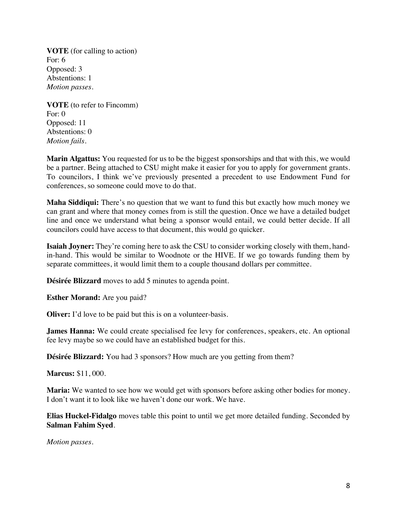**VOTE** (for calling to action) For: 6 Opposed: 3 Abstentions: 1 *Motion passes.*

**VOTE** (to refer to Fincomm) For: 0 Opposed: 11 Abstentions: 0 *Motion fails.* 

**Marin Algattus:** You requested for us to be the biggest sponsorships and that with this, we would be a partner. Being attached to CSU might make it easier for you to apply for government grants. To councilors, I think we've previously presented a precedent to use Endowment Fund for conferences, so someone could move to do that.

**Maha Siddiqui:** There's no question that we want to fund this but exactly how much money we can grant and where that money comes from is still the question. Once we have a detailed budget line and once we understand what being a sponsor would entail, we could better decide. If all councilors could have access to that document, this would go quicker.

**Isaiah Joyner:** They're coming here to ask the CSU to consider working closely with them, handin-hand. This would be similar to Woodnote or the HIVE. If we go towards funding them by separate committees, it would limit them to a couple thousand dollars per committee.

**Désirée Blizzard** moves to add 5 minutes to agenda point.

**Esther Morand:** Are you paid?

**Oliver:** I'd love to be paid but this is on a volunteer-basis.

**James Hanna:** We could create specialised fee levy for conferences, speakers, etc. An optional fee levy maybe so we could have an established budget for this.

**Désirée Blizzard:** You had 3 sponsors? How much are you getting from them?

**Marcus:** \$11, 000.

**Maria:** We wanted to see how we would get with sponsors before asking other bodies for money. I don't want it to look like we haven't done our work. We have.

**Elias Huckel-Fidalgo** moves table this point to until we get more detailed funding. Seconded by **Salman Fahim Syed**.

*Motion passes.*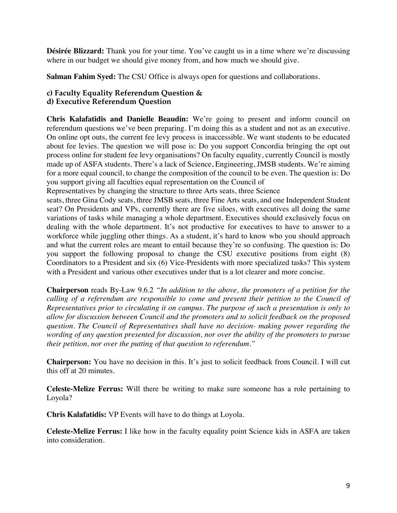**Désirée Blizzard:** Thank you for your time. You've caught us in a time where we're discussing where in our budget we should give money from, and how much we should give.

**Salman Fahim Syed:** The CSU Office is always open for questions and collaborations.

#### **c) Faculty Equality Referendum Question & d) Executive Referendum Question**

**Chris Kalafatidis and Danielle Beaudin:** We're going to present and inform council on referendum questions we've been preparing. I'm doing this as a student and not as an executive. On online opt outs, the current fee levy process is inaccessible. We want students to be educated about fee levies. The question we will pose is: Do you support Concordia bringing the opt out process online for student fee levy organisations? On faculty equality, currently Council is mostly made up of ASFA students. There's a lack of Science, Engineering, JMSB students. We're aiming for a more equal council, to change the composition of the council to be even. The question is: Do you support giving all faculties equal representation on the Council of

Representatives by changing the structure to three Arts seats, three Science

seats, three Gina Cody seats, three JMSB seats, three Fine Arts seats, and one Independent Student seat? On Presidents and VPs, currently there are five siloes, with executives all doing the same variations of tasks while managing a whole department. Executives should exclusively focus on dealing with the whole department. It's not productive for executives to have to answer to a workforce while juggling other things. As a student, it's hard to know who you should approach and what the current roles are meant to entail because they're so confusing. The question is: Do you support the following proposal to change the CSU executive positions from eight (8) Coordinators to a President and six (6) Vice-Presidents with more specialized tasks? This system with a President and various other executives under that is a lot clearer and more concise.

**Chairperson** reads By-Law 9.6.2 *"In addition to the above, the promoters of a petition for the calling of a referendum are responsible to come and present their petition to the Council of Representatives prior to circulating it on campus. The purpose of such a presentation is only to allow for discussion between Council and the promoters and to solicit feedback on the proposed question. The Council of Representatives shall have no decision- making power regarding the wording of any question presented for discussion, nor over the ability of the promoters to pursue their petition, nor over the putting of that question to referendum."*

**Chairperson:** You have no decision in this. It's just to solicit feedback from Council. I will cut this off at 20 minutes.

**Celeste-Melize Ferrus:** Will there be writing to make sure someone has a role pertaining to Loyola?

**Chris Kalafatidis:** VP Events will have to do things at Loyola.

**Celeste-Melize Ferrus:** I like how in the faculty equality point Science kids in ASFA are taken into consideration.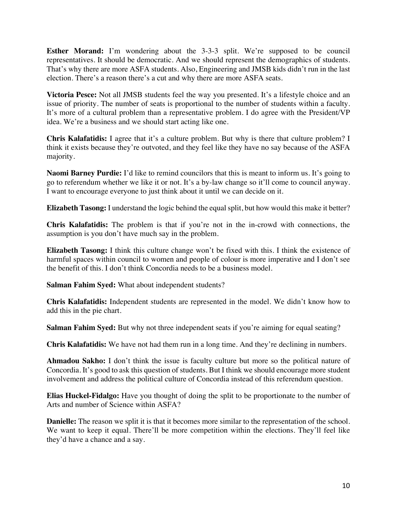**Esther Morand:** I'm wondering about the 3-3-3 split. We're supposed to be council representatives. It should be democratic. And we should represent the demographics of students. That's why there are more ASFA students. Also, Engineering and JMSB kids didn't run in the last election. There's a reason there's a cut and why there are more ASFA seats.

**Victoria Pesce:** Not all JMSB students feel the way you presented. It's a lifestyle choice and an issue of priority. The number of seats is proportional to the number of students within a faculty. It's more of a cultural problem than a representative problem. I do agree with the President/VP idea. We're a business and we should start acting like one.

**Chris Kalafatidis:** I agree that it's a culture problem. But why is there that culture problem? I think it exists because they're outvoted, and they feel like they have no say because of the ASFA majority.

**Naomi Barney Purdie:** I'd like to remind councilors that this is meant to inform us. It's going to go to referendum whether we like it or not. It's a by-law change so it'll come to council anyway. I want to encourage everyone to just think about it until we can decide on it.

**Elizabeth Tasong:** I understand the logic behind the equal split, but how would this make it better?

**Chris Kalafatidis:** The problem is that if you're not in the in-crowd with connections, the assumption is you don't have much say in the problem.

**Elizabeth Tasong:** I think this culture change won't be fixed with this. I think the existence of harmful spaces within council to women and people of colour is more imperative and I don't see the benefit of this. I don't think Concordia needs to be a business model.

**Salman Fahim Syed:** What about independent students?

**Chris Kalafatidis:** Independent students are represented in the model. We didn't know how to add this in the pie chart.

**Salman Fahim Syed:** But why not three independent seats if you're aiming for equal seating?

**Chris Kalafatidis:** We have not had them run in a long time. And they're declining in numbers.

**Ahmadou Sakho:** I don't think the issue is faculty culture but more so the political nature of Concordia. It's good to ask this question of students. But I think we should encourage more student involvement and address the political culture of Concordia instead of this referendum question.

**Elias Huckel-Fidalgo:** Have you thought of doing the split to be proportionate to the number of Arts and number of Science within ASFA?

**Danielle:** The reason we split it is that it becomes more similar to the representation of the school. We want to keep it equal. There'll be more competition within the elections. They'll feel like they'd have a chance and a say.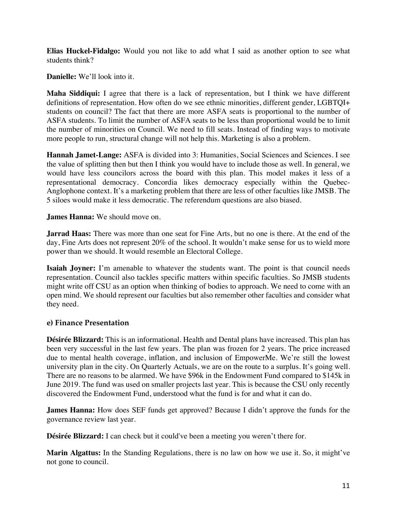**Elias Huckel-Fidalgo:** Would you not like to add what I said as another option to see what students think?

**Danielle:** We'll look into it.

**Maha Siddiqui:** I agree that there is a lack of representation, but I think we have different definitions of representation. How often do we see ethnic minorities, different gender, LGBTQI+ students on council? The fact that there are more ASFA seats is proportional to the number of ASFA students. To limit the number of ASFA seats to be less than proportional would be to limit the number of minorities on Council. We need to fill seats. Instead of finding ways to motivate more people to run, structural change will not help this. Marketing is also a problem.

**Hannah Jamet-Lange:** ASFA is divided into 3: Humanities, Social Sciences and Sciences. I see the value of splitting then but then I think you would have to include those as well. In general, we would have less councilors across the board with this plan. This model makes it less of a representational democracy. Concordia likes democracy especially within the Quebec-Anglophone context. It's a marketing problem that there are less of other faculties like JMSB. The 5 siloes would make it less democratic. The referendum questions are also biased.

**James Hanna:** We should move on.

**Jarrad Haas:** There was more than one seat for Fine Arts, but no one is there. At the end of the day, Fine Arts does not represent 20% of the school. It wouldn't make sense for us to wield more power than we should. It would resemble an Electoral College.

**Isaiah Joyner:** I'm amenable to whatever the students want. The point is that council needs representation. Council also tackles specific matters within specific faculties. So JMSB students might write off CSU as an option when thinking of bodies to approach. We need to come with an open mind. We should represent our faculties but also remember other faculties and consider what they need.

## **e) Finance Presentation**

**Désirée Blizzard:** This is an informational. Health and Dental plans have increased. This plan has been very successful in the last few years. The plan was frozen for 2 years. The price increased due to mental health coverage, inflation, and inclusion of EmpowerMe. We're still the lowest university plan in the city. On Quarterly Actuals, we are on the route to a surplus. It's going well. There are no reasons to be alarmed. We have \$96k in the Endowment Fund compared to \$145k in June 2019. The fund was used on smaller projects last year. This is because the CSU only recently discovered the Endowment Fund, understood what the fund is for and what it can do.

**James Hanna:** How does SEF funds get approved? Because I didn't approve the funds for the governance review last year.

**Désirée Blizzard:** I can check but it could've been a meeting you weren't there for.

**Marin Algattus:** In the Standing Regulations, there is no law on how we use it. So, it might've not gone to council.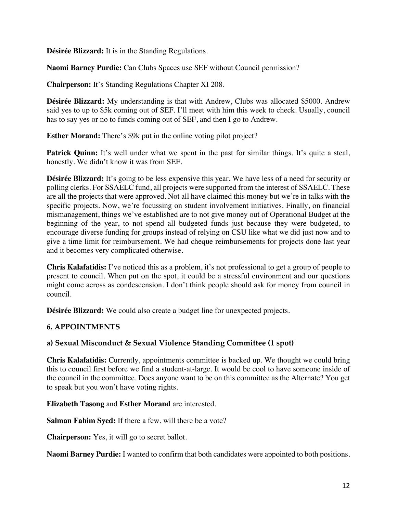**Désirée Blizzard:** It is in the Standing Regulations.

**Naomi Barney Purdie:** Can Clubs Spaces use SEF without Council permission?

**Chairperson:** It's Standing Regulations Chapter XI 208.

**Désirée Blizzard:** My understanding is that with Andrew, Clubs was allocated \$5000. Andrew said yes to up to \$5k coming out of SEF. I'll meet with him this week to check. Usually, council has to say yes or no to funds coming out of SEF, and then I go to Andrew.

**Esther Morand:** There's \$9k put in the online voting pilot project?

**Patrick Quinn:** It's well under what we spent in the past for similar things. It's quite a steal, honestly. We didn't know it was from SEF.

**Désirée Blizzard:** It's going to be less expensive this year. We have less of a need for security or polling clerks. For SSAELC fund, all projects were supported from the interest of SSAELC. These are all the projects that were approved. Not all have claimed this money but we're in talks with the specific projects. Now, we're focussing on student involvement initiatives. Finally, on financial mismanagement, things we've established are to not give money out of Operational Budget at the beginning of the year, to not spend all budgeted funds just because they were budgeted, to encourage diverse funding for groups instead of relying on CSU like what we did just now and to give a time limit for reimbursement. We had cheque reimbursements for projects done last year and it becomes very complicated otherwise.

**Chris Kalafatidis:** I've noticed this as a problem, it's not professional to get a group of people to present to council. When put on the spot, it could be a stressful environment and our questions might come across as condescension. I don't think people should ask for money from council in council.

**Désirée Blizzard:** We could also create a budget line for unexpected projects.

## **6. APPOINTMENTS**

## **a) Sexual Misconduct & Sexual Violence Standing Committee (1 spot)**

**Chris Kalafatidis:** Currently, appointments committee is backed up. We thought we could bring this to council first before we find a student-at-large. It would be cool to have someone inside of the council in the committee. Does anyone want to be on this committee as the Alternate? You get to speak but you won't have voting rights.

#### **Elizabeth Tasong** and **Esther Morand** are interested.

**Salman Fahim Syed:** If there a few, will there be a vote?

**Chairperson:** Yes, it will go to secret ballot.

**Naomi Barney Purdie:** I wanted to confirm that both candidates were appointed to both positions.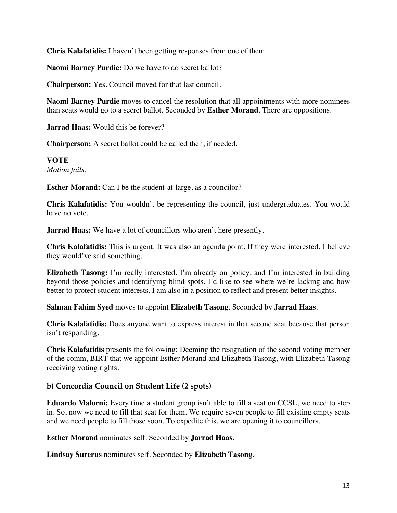**Chris Kalafatidis:** I haven't been getting responses from one of them.

**Naomi Barney Purdie:** Do we have to do secret ballot?

**Chairperson:** Yes. Council moved for that last council.

**Naomi Barney Purdie** moves to cancel the resolution that all appointments with more nominees than seats would go to a secret ballot. Seconded by **Esther Morand**. There are oppositions.

**Jarrad Haas:** Would this be forever?

**Chairperson:** A secret ballot could be called then, if needed.

**VOTE** *Motion fails.* 

**Esther Morand:** Can I be the student-at-large, as a councilor?

**Chris Kalafatidis:** You wouldn't be representing the council, just undergraduates. You would have no vote.

**Jarrad Haas:** We have a lot of councillors who aren't here presently.

**Chris Kalafatidis:** This is urgent. It was also an agenda point. If they were interested, I believe they would've said something.

**Elizabeth Tasong:** I'm really interested. I'm already on policy, and I'm interested in building beyond those policies and identifying blind spots. I'd like to see where we're lacking and how better to protect student interests. I am also in a position to reflect and present better insights.

**Salman Fahim Syed** moves to appoint **Elizabeth Tasong**. Seconded by **Jarrad Haas**.

**Chris Kalafatidis:** Does anyone want to express interest in that second seat because that person isn't responding.

**Chris Kalafatidis** presents the following: Deeming the resignation of the second voting member of the comm, BIRT that we appoint Esther Morand and Elizabeth Tasong, with Elizabeth Tasong receiving voting rights.

## **b) Concordia Council on Student Life (2 spots)**

**Eduardo Malorni:** Every time a student group isn't able to fill a seat on CCSL, we need to step in. So, now we need to fill that seat for them. We require seven people to fill existing empty seats and we need people to fill those soon. To expedite this, we are opening it to councillors.

**Esther Morand** nominates self. Seconded by **Jarrad Haas**.

**Lindsay Surerus** nominates self. Seconded by **Elizabeth Tasong**.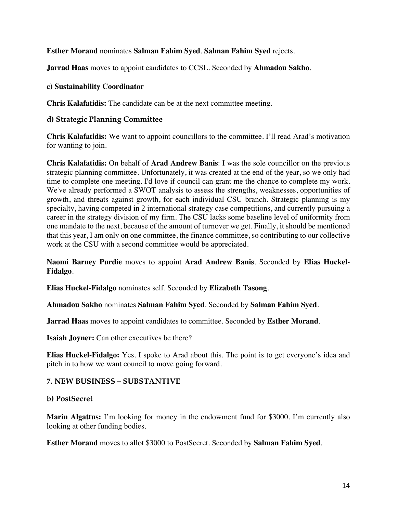#### **Esther Morand** nominates **Salman Fahim Syed**. **Salman Fahim Syed** rejects.

**Jarrad Haas** moves to appoint candidates to CCSL. Seconded by **Ahmadou Sakho**.

#### **c) Sustainability Coordinator**

**Chris Kalafatidis:** The candidate can be at the next committee meeting.

#### **d) Strategic Planning Committee**

**Chris Kalafatidis:** We want to appoint councillors to the committee. I'll read Arad's motivation for wanting to join.

**Chris Kalafatidis:** On behalf of **Arad Andrew Banis**: I was the sole councillor on the previous strategic planning committee. Unfortunately, it was created at the end of the year, so we only had time to complete one meeting. I'd love if council can grant me the chance to complete my work. We've already performed a SWOT analysis to assess the strengths, weaknesses, opportunities of growth, and threats against growth, for each individual CSU branch. Strategic planning is my specialty, having competed in 2 international strategy case competitions, and currently pursuing a career in the strategy division of my firm. The CSU lacks some baseline level of uniformity from one mandate to the next, because of the amount of turnover we get. Finally, it should be mentioned that this year, I am only on one committee, the finance committee, so contributing to our collective work at the CSU with a second committee would be appreciated.

**Naomi Barney Purdie** moves to appoint **Arad Andrew Banis**. Seconded by **Elias Huckel-Fidalgo**.

**Elias Huckel-Fidalgo** nominates self. Seconded by **Elizabeth Tasong**.

**Ahmadou Sakho** nominates **Salman Fahim Syed**. Seconded by **Salman Fahim Syed**.

**Jarrad Haas** moves to appoint candidates to committee. Seconded by **Esther Morand**.

**Isaiah Joyner:** Can other executives be there?

**Elias Huckel-Fidalgo:** Yes. I spoke to Arad about this. The point is to get everyone's idea and pitch in to how we want council to move going forward.

#### **7. NEW BUSINESS – SUBSTANTIVE**

#### **b) PostSecret**

**Marin Algattus:** I'm looking for money in the endowment fund for \$3000. I'm currently also looking at other funding bodies.

**Esther Morand** moves to allot \$3000 to PostSecret. Seconded by **Salman Fahim Syed**.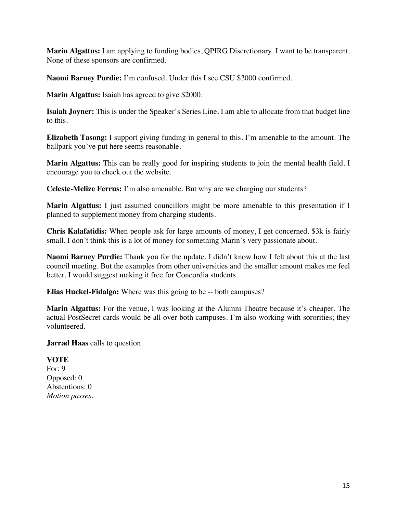**Marin Algattus:** I am applying to funding bodies, QPIRG Discretionary. I want to be transparent. None of these sponsors are confirmed.

**Naomi Barney Purdie:** I'm confused. Under this I see CSU \$2000 confirmed.

**Marin Algattus:** Isaiah has agreed to give \$2000.

**Isaiah Joyner:** This is under the Speaker's Series Line. I am able to allocate from that budget line to this.

**Elizabeth Tasong:** I support giving funding in general to this. I'm amenable to the amount. The ballpark you've put here seems reasonable.

**Marin Algattus:** This can be really good for inspiring students to join the mental health field. I encourage you to check out the website.

**Celeste-Melize Ferrus:** I'm also amenable. But why are we charging our students?

**Marin Algattus:** I just assumed councillors might be more amenable to this presentation if I planned to supplement money from charging students.

**Chris Kalafatidis:** When people ask for large amounts of money, I get concerned. \$3k is fairly small. I don't think this is a lot of money for something Marin's very passionate about.

**Naomi Barney Purdie:** Thank you for the update. I didn't know how I felt about this at the last council meeting. But the examples from other universities and the smaller amount makes me feel better. I would suggest making it free for Concordia students.

**Elias Huckel-Fidalgo:** Where was this going to be -- both campuses?

**Marin Algattus:** For the venue, I was looking at the Alumni Theatre because it's cheaper. The actual PostSecret cards would be all over both campuses. I'm also working with sororities; they volunteered.

**Jarrad Haas** calls to question.

**VOTE** For: 9 Opposed: 0 Abstentions: 0 *Motion passes.*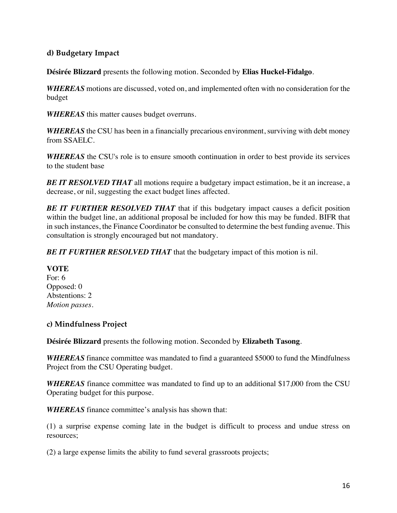## **d) Budgetary Impact**

**Désirée Blizzard** presents the following motion. Seconded by **Elias Huckel-Fidalgo**.

*WHEREAS* motions are discussed, voted on, and implemented often with no consideration for the budget

*WHEREAS* this matter causes budget overruns.

*WHEREAS* the CSU has been in a financially precarious environment, surviving with debt money from SSAELC.

*WHEREAS* the CSU's role is to ensure smooth continuation in order to best provide its services to the student base

**BE IT RESOLVED THAT** all motions require a budgetary impact estimation, be it an increase, a decrease, or nil, suggesting the exact budget lines affected.

*BE IT FURTHER RESOLVED THAT* that if this budgetary impact causes a deficit position within the budget line, an additional proposal be included for how this may be funded. BIFR that in such instances, the Finance Coordinator be consulted to determine the best funding avenue. This consultation is strongly encouraged but not mandatory.

*BE IT FURTHER RESOLVED THAT* that the budgetary impact of this motion is nil.

#### **VOTE**

For: 6 Opposed: 0 Abstentions: 2 *Motion passes.* 

## **c) Mindfulness Project**

**Désirée Blizzard** presents the following motion. Seconded by **Elizabeth Tasong**.

*WHEREAS* finance committee was mandated to find a guaranteed \$5000 to fund the Mindfulness Project from the CSU Operating budget.

*WHEREAS* finance committee was mandated to find up to an additional \$17,000 from the CSU Operating budget for this purpose.

*WHEREAS* finance committee's analysis has shown that:

(1) a surprise expense coming late in the budget is difficult to process and undue stress on resources;

(2) a large expense limits the ability to fund several grassroots projects;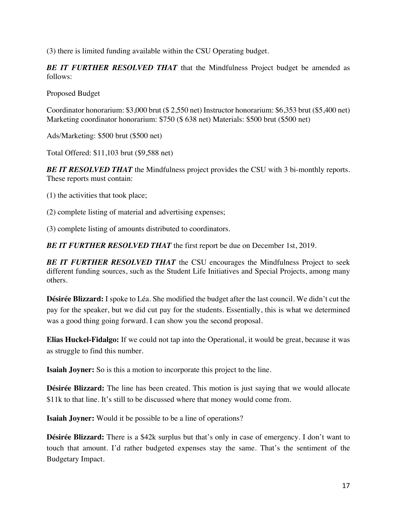(3) there is limited funding available within the CSU Operating budget.

*BE IT FURTHER RESOLVED THAT* that the Mindfulness Project budget be amended as follows:

Proposed Budget

Coordinator honorarium: \$3,000 brut (\$ 2,550 net) Instructor honorarium: \$6,353 brut (\$5,400 net) Marketing coordinator honorarium: \$750 (\$ 638 net) Materials: \$500 brut (\$500 net)

Ads/Marketing: \$500 brut (\$500 net)

Total Offered: \$11,103 brut (\$9,588 net)

*BE IT RESOLVED THAT* the Mindfulness project provides the CSU with 3 bi-monthly reports. These reports must contain:

(1) the activities that took place;

(2) complete listing of material and advertising expenses;

(3) complete listing of amounts distributed to coordinators.

*BE IT FURTHER RESOLVED THAT* the first report be due on December 1st, 2019.

**BE IT FURTHER RESOLVED THAT** the CSU encourages the Mindfulness Project to seek different funding sources, such as the Student Life Initiatives and Special Projects, among many others.

**Désirée Blizzard:** I spoke to Léa. She modified the budget after the last council. We didn't cut the pay for the speaker, but we did cut pay for the students. Essentially, this is what we determined was a good thing going forward. I can show you the second proposal.

**Elias Huckel-Fidalgo:** If we could not tap into the Operational, it would be great, because it was as struggle to find this number.

**Isaiah Joyner:** So is this a motion to incorporate this project to the line.

**Désirée Blizzard:** The line has been created. This motion is just saying that we would allocate \$11k to that line. It's still to be discussed where that money would come from.

**Isaiah Joyner:** Would it be possible to be a line of operations?

**Désirée Blizzard:** There is a \$42k surplus but that's only in case of emergency. I don't want to touch that amount. I'd rather budgeted expenses stay the same. That's the sentiment of the Budgetary Impact.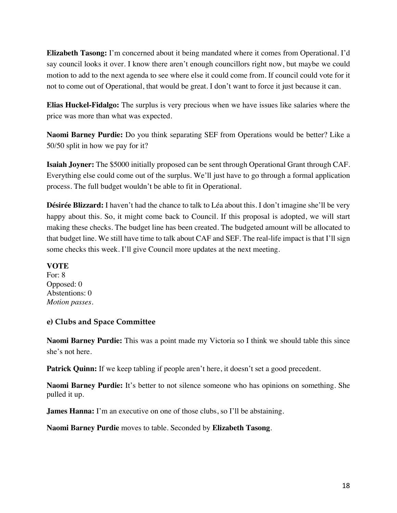**Elizabeth Tasong:** I'm concerned about it being mandated where it comes from Operational. I'd say council looks it over. I know there aren't enough councillors right now, but maybe we could motion to add to the next agenda to see where else it could come from. If council could vote for it not to come out of Operational, that would be great. I don't want to force it just because it can.

**Elias Huckel-Fidalgo:** The surplus is very precious when we have issues like salaries where the price was more than what was expected.

**Naomi Barney Purdie:** Do you think separating SEF from Operations would be better? Like a 50/50 split in how we pay for it?

**Isaiah Joyner:** The \$5000 initially proposed can be sent through Operational Grant through CAF. Everything else could come out of the surplus. We'll just have to go through a formal application process. The full budget wouldn't be able to fit in Operational.

**Désirée Blizzard:** I haven't had the chance to talk to Léa about this. I don't imagine she'll be very happy about this. So, it might come back to Council. If this proposal is adopted, we will start making these checks. The budget line has been created. The budgeted amount will be allocated to that budget line. We still have time to talk about CAF and SEF. The real-life impact is that I'll sign some checks this week. I'll give Council more updates at the next meeting.

## **VOTE**

For: 8 Opposed: 0 Abstentions: 0 *Motion passes.*

## **e) Clubs and Space Committee**

**Naomi Barney Purdie:** This was a point made my Victoria so I think we should table this since she's not here.

Patrick Quinn: If we keep tabling if people aren't here, it doesn't set a good precedent.

**Naomi Barney Purdie:** It's better to not silence someone who has opinions on something. She pulled it up.

**James Hanna:** I'm an executive on one of those clubs, so I'll be abstaining.

**Naomi Barney Purdie** moves to table. Seconded by **Elizabeth Tasong**.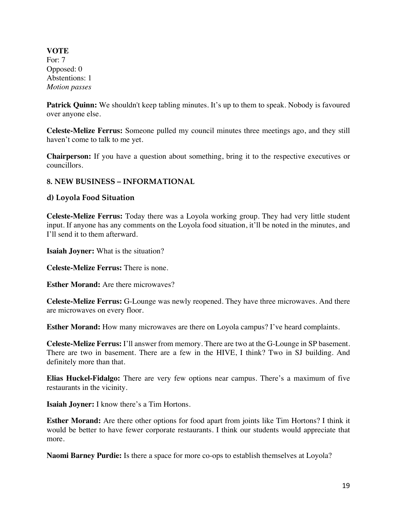**VOTE** For: 7 Opposed: 0 Abstentions: 1 *Motion passes*

**Patrick Quinn:** We shouldn't keep tabling minutes. It's up to them to speak. Nobody is favoured over anyone else.

**Celeste-Melize Ferrus:** Someone pulled my council minutes three meetings ago, and they still haven't come to talk to me yet.

**Chairperson:** If you have a question about something, bring it to the respective executives or councillors.

## **8. NEW BUSINESS – INFORMATIONAL**

#### **d) Loyola Food Situation**

**Celeste-Melize Ferrus:** Today there was a Loyola working group. They had very little student input. If anyone has any comments on the Loyola food situation, it'll be noted in the minutes, and I'll send it to them afterward.

**Isaiah Joyner:** What is the situation?

**Celeste-Melize Ferrus:** There is none.

**Esther Morand:** Are there microwaves?

**Celeste-Melize Ferrus:** G-Lounge was newly reopened. They have three microwaves. And there are microwaves on every floor.

**Esther Morand:** How many microwaves are there on Loyola campus? I've heard complaints.

**Celeste-Melize Ferrus:** I'll answer from memory. There are two at the G-Lounge in SP basement. There are two in basement. There are a few in the HIVE, I think? Two in SJ building. And definitely more than that.

**Elias Huckel-Fidalgo:** There are very few options near campus. There's a maximum of five restaurants in the vicinity.

**Isaiah Joyner:** I know there's a Tim Hortons.

**Esther Morand:** Are there other options for food apart from joints like Tim Hortons? I think it would be better to have fewer corporate restaurants. I think our students would appreciate that more.

**Naomi Barney Purdie:** Is there a space for more co-ops to establish themselves at Loyola?